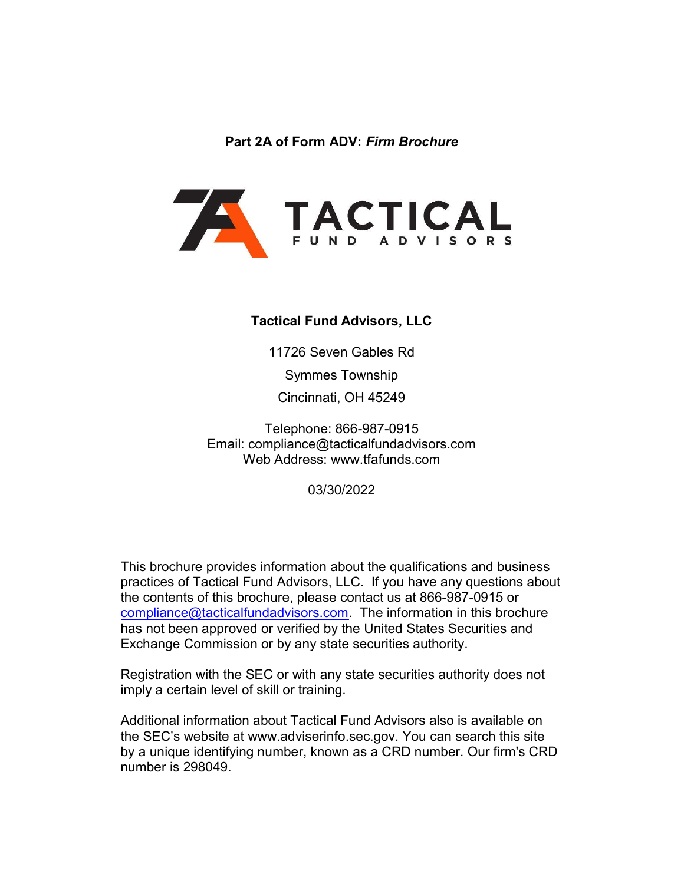Part 2A of Form ADV: Firm Brochure



#### Tactical Fund Advisors, LLC

11726 Seven Gables Rd

Symmes Township

Cincinnati, OH 45249

Telephone: 866-987-0915 Email: compliance@tacticalfundadvisors.com Web Address: www.tfafunds.com

03/30/2022

This brochure provides information about the qualifications and business practices of Tactical Fund Advisors, LLC. If you have any questions about the contents of this brochure, please contact us at 866-987-0915 or compliance@tacticalfundadvisors.com. The information in this brochure has not been approved or verified by the United States Securities and Exchange Commission or by any state securities authority.

Registration with the SEC or with any state securities authority does not imply a certain level of skill or training.

Additional information about Tactical Fund Advisors also is available on the SEC's website at www.adviserinfo.sec.gov. You can search this site by a unique identifying number, known as a CRD number. Our firm's CRD number is 298049.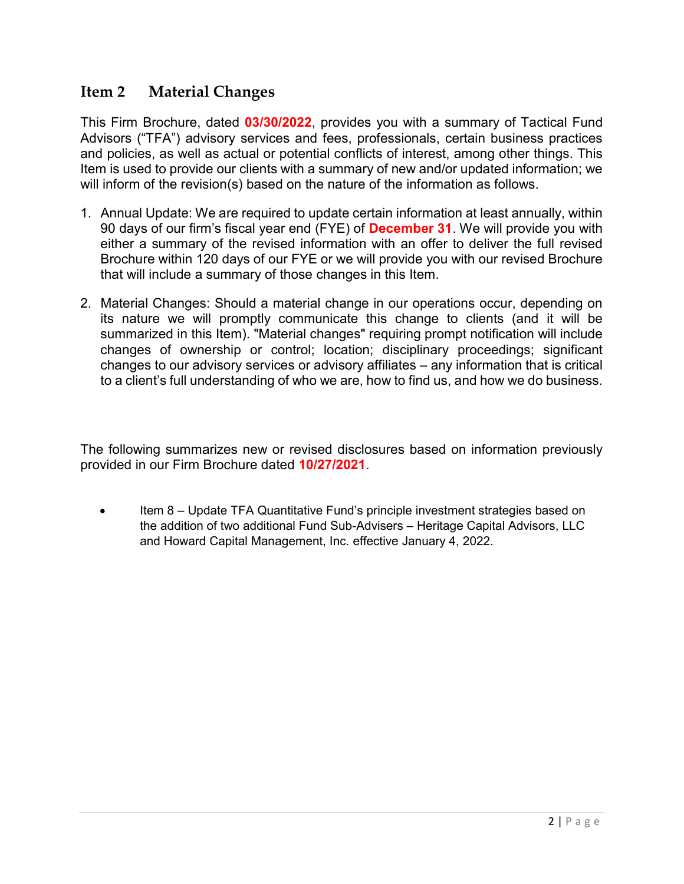## Item 2 Material Changes

This Firm Brochure, dated 03/30/2022, provides you with a summary of Tactical Fund Advisors ("TFA") advisory services and fees, professionals, certain business practices and policies, as well as actual or potential conflicts of interest, among other things. This Item is used to provide our clients with a summary of new and/or updated information; we will inform of the revision(s) based on the nature of the information as follows.

- 1. Annual Update: We are required to update certain information at least annually, within 90 days of our firm's fiscal year end (FYE) of **December 31**. We will provide you with either a summary of the revised information with an offer to deliver the full revised Brochure within 120 days of our FYE or we will provide you with our revised Brochure that will include a summary of those changes in this Item.
- 2. Material Changes: Should a material change in our operations occur, depending on its nature we will promptly communicate this change to clients (and it will be summarized in this Item). "Material changes" requiring prompt notification will include changes of ownership or control; location; disciplinary proceedings; significant changes to our advisory services or advisory affiliates – any information that is critical to a client's full understanding of who we are, how to find us, and how we do business.

The following summarizes new or revised disclosures based on information previously provided in our Firm Brochure dated 10/27/2021.

 Item 8 – Update TFA Quantitative Fund's principle investment strategies based on the addition of two additional Fund Sub-Advisers – Heritage Capital Advisors, LLC and Howard Capital Management, Inc. effective January 4, 2022.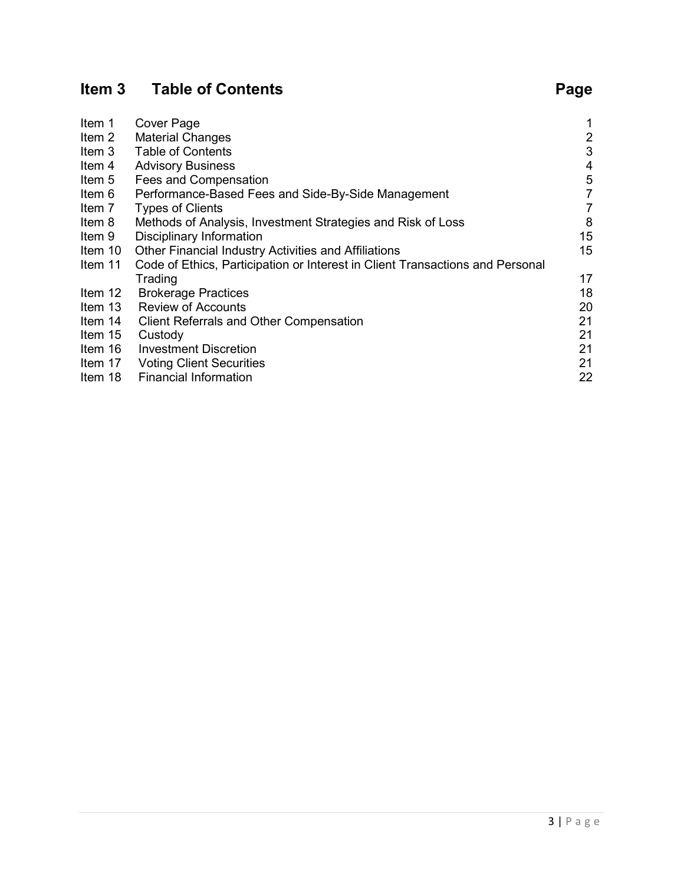# Item 3 Table of Contents **Page**

| Item 1  | <b>Cover Page</b>                                                             |                |
|---------|-------------------------------------------------------------------------------|----------------|
| Item 2  | <b>Material Changes</b>                                                       | $\overline{2}$ |
| Item 3  | <b>Table of Contents</b>                                                      | 3              |
| ltem 4  | <b>Advisory Business</b>                                                      | 4              |
| Item 5  | Fees and Compensation                                                         | 5              |
| Item 6  | Performance-Based Fees and Side-By-Side Management                            | 7              |
| Item 7  | <b>Types of Clients</b>                                                       | 7              |
| ltem 8  | Methods of Analysis, Investment Strategies and Risk of Loss                   | 8              |
| ltem 9  | Disciplinary Information                                                      | 15             |
| ltem 10 | <b>Other Financial Industry Activities and Affiliations</b>                   | 15             |
| ltem 11 | Code of Ethics, Participation or Interest in Client Transactions and Personal |                |
|         | Trading                                                                       | 17             |
| Item 12 | <b>Brokerage Practices</b>                                                    | 18             |
| Item 13 | <b>Review of Accounts</b>                                                     | 20             |
| Item 14 | <b>Client Referrals and Other Compensation</b>                                | 21             |
| Item 15 | Custody                                                                       | 21             |
| Item 16 | <b>Investment Discretion</b>                                                  | 21             |
| Item 17 | <b>Voting Client Securities</b>                                               | 21             |
| Item 18 | <b>Financial Information</b>                                                  | 22             |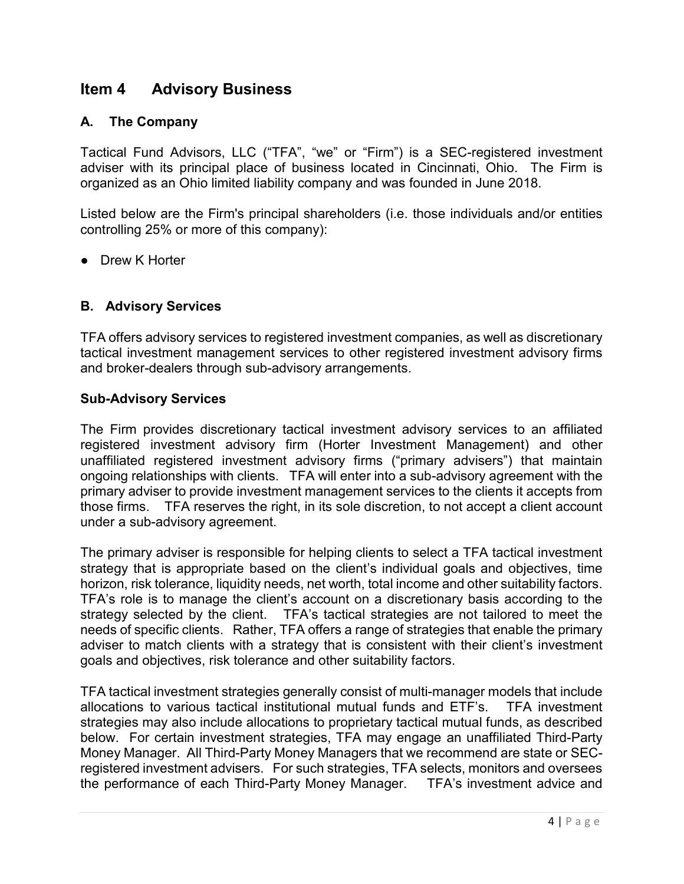## Item 4 Advisory Business

#### A. The Company

Tactical Fund Advisors, LLC ("TFA", "we" or "Firm") is a SEC-registered investment adviser with its principal place of business located in Cincinnati, Ohio. The Firm is organized as an Ohio limited liability company and was founded in June 2018.

Listed below are the Firm's principal shareholders (i.e. those individuals and/or entities controlling 25% or more of this company):

● Drew K Horter

#### B. Advisory Services

TFA offers advisory services to registered investment companies, as well as discretionary tactical investment management services to other registered investment advisory firms and broker-dealers through sub-advisory arrangements.

#### Sub-Advisory Services

The Firm provides discretionary tactical investment advisory services to an affiliated registered investment advisory firm (Horter Investment Management) and other unaffiliated registered investment advisory firms ("primary advisers") that maintain ongoing relationships with clients. TFA will enter into a sub-advisory agreement with the primary adviser to provide investment management services to the clients it accepts from those firms. TFA reserves the right, in its sole discretion, to not accept a client account under a sub-advisory agreement.

The primary adviser is responsible for helping clients to select a TFA tactical investment strategy that is appropriate based on the client's individual goals and objectives, time horizon, risk tolerance, liquidity needs, net worth, total income and other suitability factors. TFA's role is to manage the client's account on a discretionary basis according to the strategy selected by the client. TFA's tactical strategies are not tailored to meet the needs of specific clients. Rather, TFA offers a range of strategies that enable the primary adviser to match clients with a strategy that is consistent with their client's investment goals and objectives, risk tolerance and other suitability factors.

TFA tactical investment strategies generally consist of multi-manager models that include allocations to various tactical institutional mutual funds and ETF's. TFA investment strategies may also include allocations to proprietary tactical mutual funds, as described below. For certain investment strategies, TFA may engage an unaffiliated Third-Party Money Manager. All Third-Party Money Managers that we recommend are state or SECregistered investment advisers. For such strategies, TFA selects, monitors and oversees the performance of each Third-Party Money Manager. TFA's investment advice and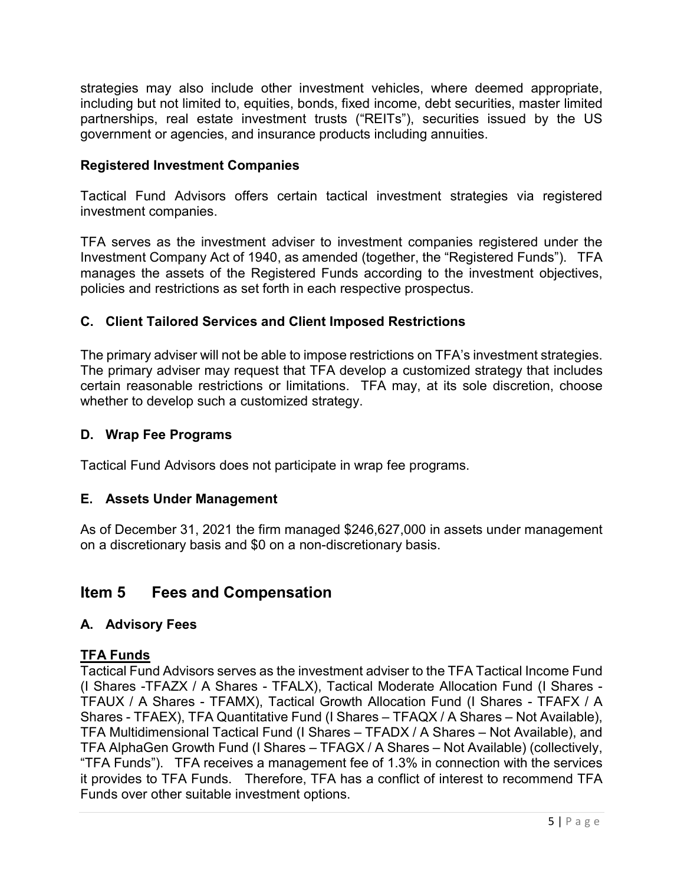strategies may also include other investment vehicles, where deemed appropriate, including but not limited to, equities, bonds, fixed income, debt securities, master limited partnerships, real estate investment trusts ("REITs"), securities issued by the US government or agencies, and insurance products including annuities.

#### Registered Investment Companies

Tactical Fund Advisors offers certain tactical investment strategies via registered investment companies.

TFA serves as the investment adviser to investment companies registered under the Investment Company Act of 1940, as amended (together, the "Registered Funds"). TFA manages the assets of the Registered Funds according to the investment objectives, policies and restrictions as set forth in each respective prospectus.

### C. Client Tailored Services and Client Imposed Restrictions

The primary adviser will not be able to impose restrictions on TFA's investment strategies. The primary adviser may request that TFA develop a customized strategy that includes certain reasonable restrictions or limitations. TFA may, at its sole discretion, choose whether to develop such a customized strategy.

#### D. Wrap Fee Programs

Tactical Fund Advisors does not participate in wrap fee programs.

#### E. Assets Under Management

As of December 31, 2021 the firm managed \$246,627,000 in assets under management on a discretionary basis and \$0 on a non-discretionary basis.

## Item 5 Fees and Compensation

#### A. Advisory Fees

#### TFA Funds

Tactical Fund Advisors serves as the investment adviser to the TFA Tactical Income Fund (I Shares -TFAZX / A Shares - TFALX), Tactical Moderate Allocation Fund (I Shares - TFAUX / A Shares - TFAMX), Tactical Growth Allocation Fund (I Shares - TFAFX / A Shares - TFAEX), TFA Quantitative Fund (I Shares – TFAQX / A Shares – Not Available), TFA Multidimensional Tactical Fund (I Shares – TFADX / A Shares – Not Available), and TFA AlphaGen Growth Fund (I Shares – TFAGX / A Shares – Not Available) (collectively, "TFA Funds"). TFA receives a management fee of 1.3% in connection with the services it provides to TFA Funds. Therefore, TFA has a conflict of interest to recommend TFA Funds over other suitable investment options.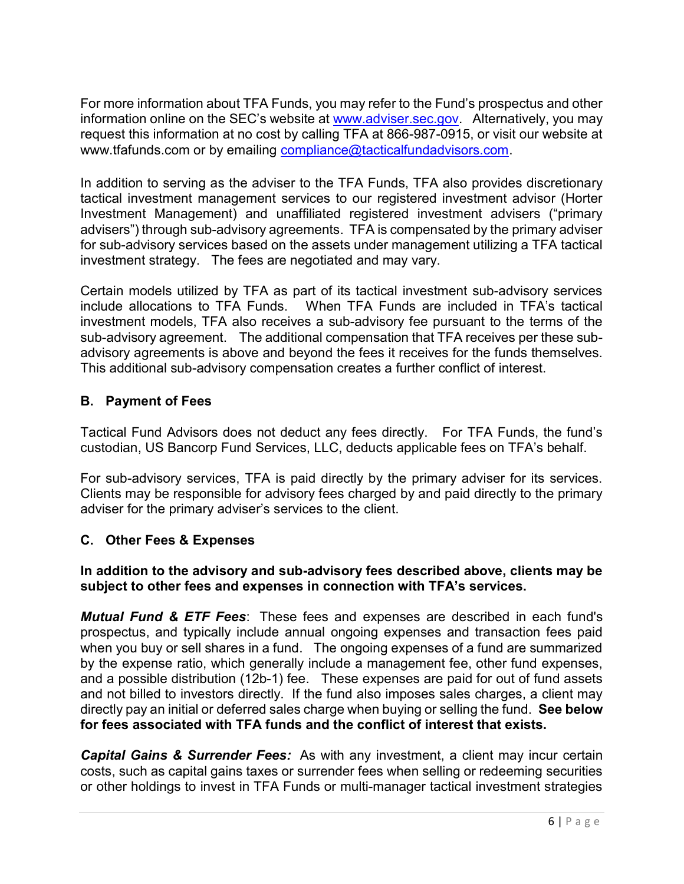For more information about TFA Funds, you may refer to the Fund's prospectus and other information online on the SEC's website at www.adviser.sec.gov. Alternatively, you may request this information at no cost by calling TFA at 866-987-0915, or visit our website at www.tfafunds.com or by emailing compliance@tacticalfundadvisors.com.

In addition to serving as the adviser to the TFA Funds, TFA also provides discretionary tactical investment management services to our registered investment advisor (Horter Investment Management) and unaffiliated registered investment advisers ("primary advisers") through sub-advisory agreements. TFA is compensated by the primary adviser for sub-advisory services based on the assets under management utilizing a TFA tactical investment strategy. The fees are negotiated and may vary.

Certain models utilized by TFA as part of its tactical investment sub-advisory services include allocations to TFA Funds. When TFA Funds are included in TFA's tactical investment models, TFA also receives a sub-advisory fee pursuant to the terms of the sub-advisory agreement. The additional compensation that TFA receives per these subadvisory agreements is above and beyond the fees it receives for the funds themselves. This additional sub-advisory compensation creates a further conflict of interest.

## B. Payment of Fees

Tactical Fund Advisors does not deduct any fees directly. For TFA Funds, the fund's custodian, US Bancorp Fund Services, LLC, deducts applicable fees on TFA's behalf.

For sub-advisory services, TFA is paid directly by the primary adviser for its services. Clients may be responsible for advisory fees charged by and paid directly to the primary adviser for the primary adviser's services to the client.

#### C. Other Fees & Expenses

#### In addition to the advisory and sub-advisory fees described above, clients may be subject to other fees and expenses in connection with TFA's services.

**Mutual Fund & ETF Fees:** These fees and expenses are described in each fund's prospectus, and typically include annual ongoing expenses and transaction fees paid when you buy or sell shares in a fund. The ongoing expenses of a fund are summarized by the expense ratio, which generally include a management fee, other fund expenses, and a possible distribution (12b-1) fee. These expenses are paid for out of fund assets and not billed to investors directly. If the fund also imposes sales charges, a client may directly pay an initial or deferred sales charge when buying or selling the fund. See below for fees associated with TFA funds and the conflict of interest that exists.

**Capital Gains & Surrender Fees:** As with any investment, a client may incur certain costs, such as capital gains taxes or surrender fees when selling or redeeming securities or other holdings to invest in TFA Funds or multi-manager tactical investment strategies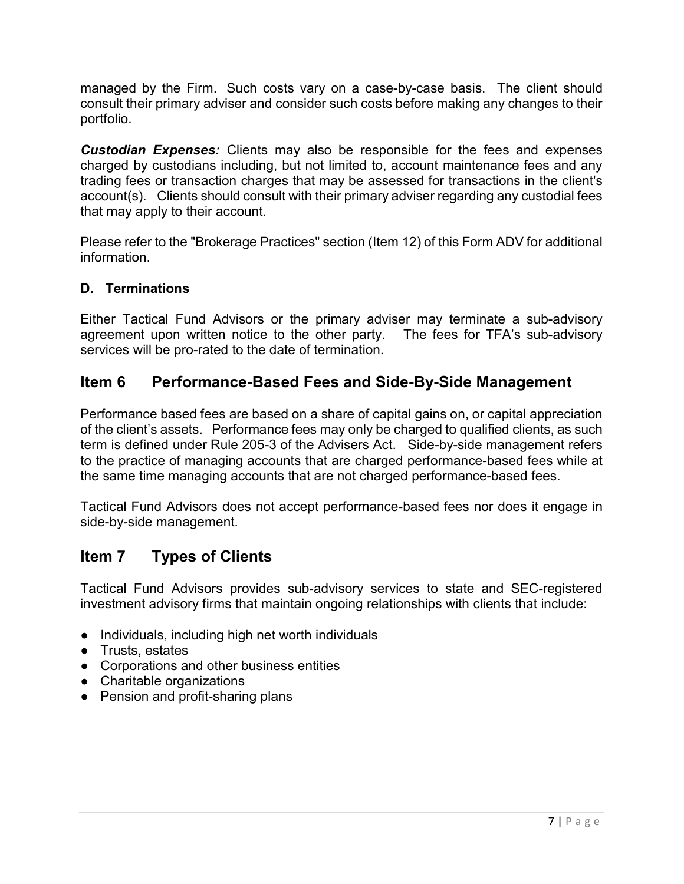managed by the Firm. Such costs vary on a case-by-case basis. The client should consult their primary adviser and consider such costs before making any changes to their portfolio.

**Custodian Expenses:** Clients may also be responsible for the fees and expenses charged by custodians including, but not limited to, account maintenance fees and any trading fees or transaction charges that may be assessed for transactions in the client's account(s). Clients should consult with their primary adviser regarding any custodial fees that may apply to their account.

Please refer to the "Brokerage Practices" section (Item 12) of this Form ADV for additional information.

### D. Terminations

Either Tactical Fund Advisors or the primary adviser may terminate a sub-advisory agreement upon written notice to the other party. The fees for TFA's sub-advisory services will be pro-rated to the date of termination.

## Item 6 Performance-Based Fees and Side-By-Side Management

Performance based fees are based on a share of capital gains on, or capital appreciation of the client's assets. Performance fees may only be charged to qualified clients, as such term is defined under Rule 205-3 of the Advisers Act. Side-by-side management refers to the practice of managing accounts that are charged performance-based fees while at the same time managing accounts that are not charged performance-based fees.

Tactical Fund Advisors does not accept performance-based fees nor does it engage in side-by-side management.

# Item 7 Types of Clients

Tactical Fund Advisors provides sub-advisory services to state and SEC-registered investment advisory firms that maintain ongoing relationships with clients that include:

- Individuals, including high net worth individuals
- Trusts, estates
- Corporations and other business entities
- Charitable organizations
- Pension and profit-sharing plans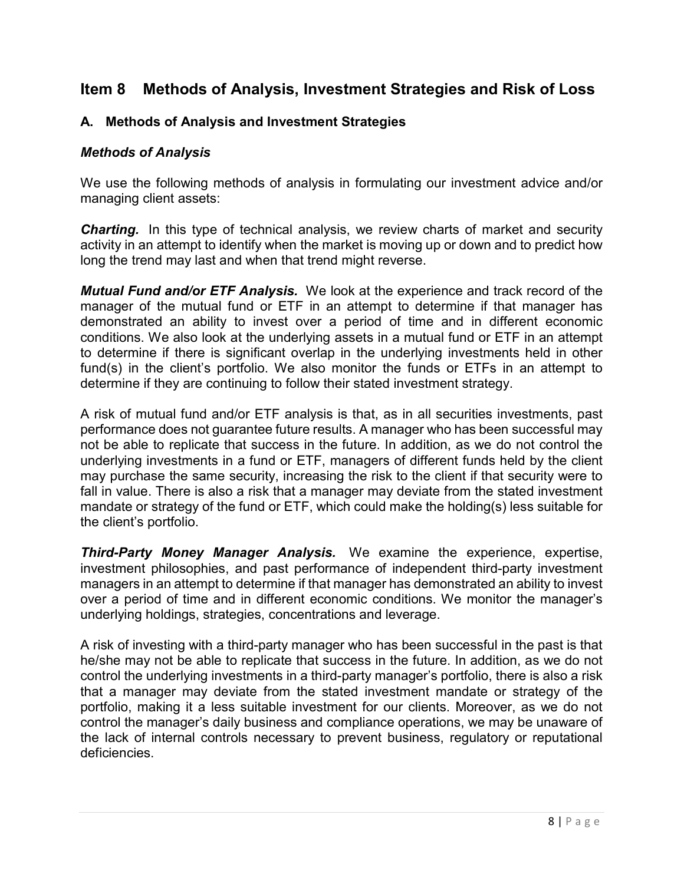## Item 8 Methods of Analysis, Investment Strategies and Risk of Loss

#### A. Methods of Analysis and Investment Strategies

#### Methods of Analysis

We use the following methods of analysis in formulating our investment advice and/or managing client assets:

**Charting.** In this type of technical analysis, we review charts of market and security activity in an attempt to identify when the market is moving up or down and to predict how long the trend may last and when that trend might reverse.

Mutual Fund and/or ETF Analysis. We look at the experience and track record of the manager of the mutual fund or ETF in an attempt to determine if that manager has demonstrated an ability to invest over a period of time and in different economic conditions. We also look at the underlying assets in a mutual fund or ETF in an attempt to determine if there is significant overlap in the underlying investments held in other fund(s) in the client's portfolio. We also monitor the funds or ETFs in an attempt to determine if they are continuing to follow their stated investment strategy.

A risk of mutual fund and/or ETF analysis is that, as in all securities investments, past performance does not guarantee future results. A manager who has been successful may not be able to replicate that success in the future. In addition, as we do not control the underlying investments in a fund or ETF, managers of different funds held by the client may purchase the same security, increasing the risk to the client if that security were to fall in value. There is also a risk that a manager may deviate from the stated investment mandate or strategy of the fund or ETF, which could make the holding(s) less suitable for the client's portfolio.

Third-Party Money Manager Analysis. We examine the experience, expertise, investment philosophies, and past performance of independent third-party investment managers in an attempt to determine if that manager has demonstrated an ability to invest over a period of time and in different economic conditions. We monitor the manager's underlying holdings, strategies, concentrations and leverage.

A risk of investing with a third-party manager who has been successful in the past is that he/she may not be able to replicate that success in the future. In addition, as we do not control the underlying investments in a third-party manager's portfolio, there is also a risk that a manager may deviate from the stated investment mandate or strategy of the portfolio, making it a less suitable investment for our clients. Moreover, as we do not control the manager's daily business and compliance operations, we may be unaware of the lack of internal controls necessary to prevent business, regulatory or reputational deficiencies.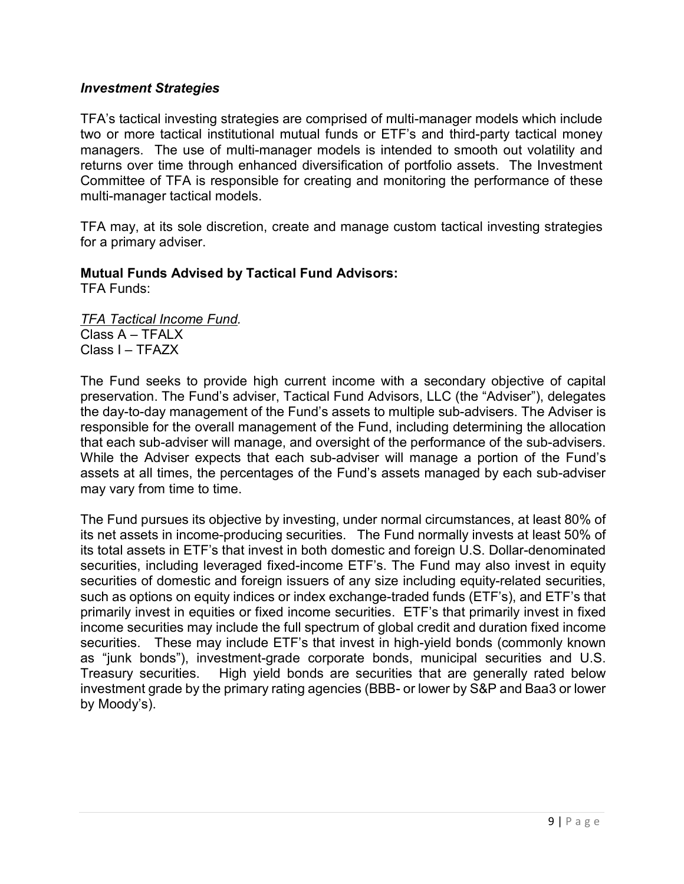#### Investment Strategies

TFA's tactical investing strategies are comprised of multi-manager models which include two or more tactical institutional mutual funds or ETF's and third-party tactical money managers. The use of multi-manager models is intended to smooth out volatility and returns over time through enhanced diversification of portfolio assets. The Investment Committee of TFA is responsible for creating and monitoring the performance of these multi-manager tactical models.

TFA may, at its sole discretion, create and manage custom tactical investing strategies for a primary adviser.

#### Mutual Funds Advised by Tactical Fund Advisors:

TFA Funds:

TFA Tactical Income Fund.  $Class A - TFAIX$ Class I – TFAZX

The Fund seeks to provide high current income with a secondary objective of capital preservation. The Fund's adviser, Tactical Fund Advisors, LLC (the "Adviser"), delegates the day-to-day management of the Fund's assets to multiple sub-advisers. The Adviser is responsible for the overall management of the Fund, including determining the allocation that each sub-adviser will manage, and oversight of the performance of the sub-advisers. While the Adviser expects that each sub-adviser will manage a portion of the Fund's assets at all times, the percentages of the Fund's assets managed by each sub-adviser may vary from time to time.

The Fund pursues its objective by investing, under normal circumstances, at least 80% of its net assets in income-producing securities. The Fund normally invests at least 50% of its total assets in ETF's that invest in both domestic and foreign U.S. Dollar-denominated securities, including leveraged fixed-income ETF's. The Fund may also invest in equity securities of domestic and foreign issuers of any size including equity-related securities, such as options on equity indices or index exchange-traded funds (ETF's), and ETF's that primarily invest in equities or fixed income securities. ETF's that primarily invest in fixed income securities may include the full spectrum of global credit and duration fixed income securities. These may include ETF's that invest in high-yield bonds (commonly known as "junk bonds"), investment-grade corporate bonds, municipal securities and U.S. Treasury securities. High yield bonds are securities that are generally rated below investment grade by the primary rating agencies (BBB- or lower by S&P and Baa3 or lower by Moody's).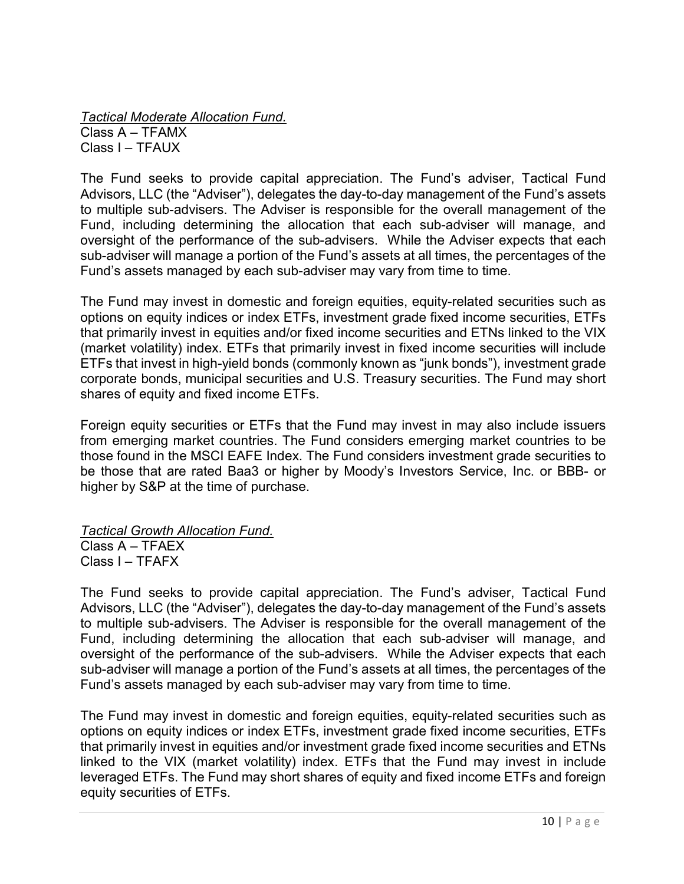Tactical Moderate Allocation Fund. Class A – TFAMX Class I – TFAUX

The Fund seeks to provide capital appreciation. The Fund's adviser, Tactical Fund Advisors, LLC (the "Adviser"), delegates the day-to-day management of the Fund's assets to multiple sub-advisers. The Adviser is responsible for the overall management of the Fund, including determining the allocation that each sub-adviser will manage, and oversight of the performance of the sub-advisers. While the Adviser expects that each sub-adviser will manage a portion of the Fund's assets at all times, the percentages of the Fund's assets managed by each sub-adviser may vary from time to time.

The Fund may invest in domestic and foreign equities, equity-related securities such as options on equity indices or index ETFs, investment grade fixed income securities, ETFs that primarily invest in equities and/or fixed income securities and ETNs linked to the VIX (market volatility) index. ETFs that primarily invest in fixed income securities will include ETFs that invest in high-yield bonds (commonly known as "junk bonds"), investment grade corporate bonds, municipal securities and U.S. Treasury securities. The Fund may short shares of equity and fixed income ETFs.

Foreign equity securities or ETFs that the Fund may invest in may also include issuers from emerging market countries. The Fund considers emerging market countries to be those found in the MSCI EAFE Index. The Fund considers investment grade securities to be those that are rated Baa3 or higher by Moody's Investors Service, Inc. or BBB- or higher by S&P at the time of purchase.

Tactical Growth Allocation Fund.

Class A – TFAEX Class I – TFAFX

The Fund seeks to provide capital appreciation. The Fund's adviser, Tactical Fund Advisors, LLC (the "Adviser"), delegates the day-to-day management of the Fund's assets to multiple sub-advisers. The Adviser is responsible for the overall management of the Fund, including determining the allocation that each sub-adviser will manage, and oversight of the performance of the sub-advisers. While the Adviser expects that each sub-adviser will manage a portion of the Fund's assets at all times, the percentages of the Fund's assets managed by each sub-adviser may vary from time to time.

The Fund may invest in domestic and foreign equities, equity-related securities such as options on equity indices or index ETFs, investment grade fixed income securities, ETFs that primarily invest in equities and/or investment grade fixed income securities and ETNs linked to the VIX (market volatility) index. ETFs that the Fund may invest in include leveraged ETFs. The Fund may short shares of equity and fixed income ETFs and foreign equity securities of ETFs.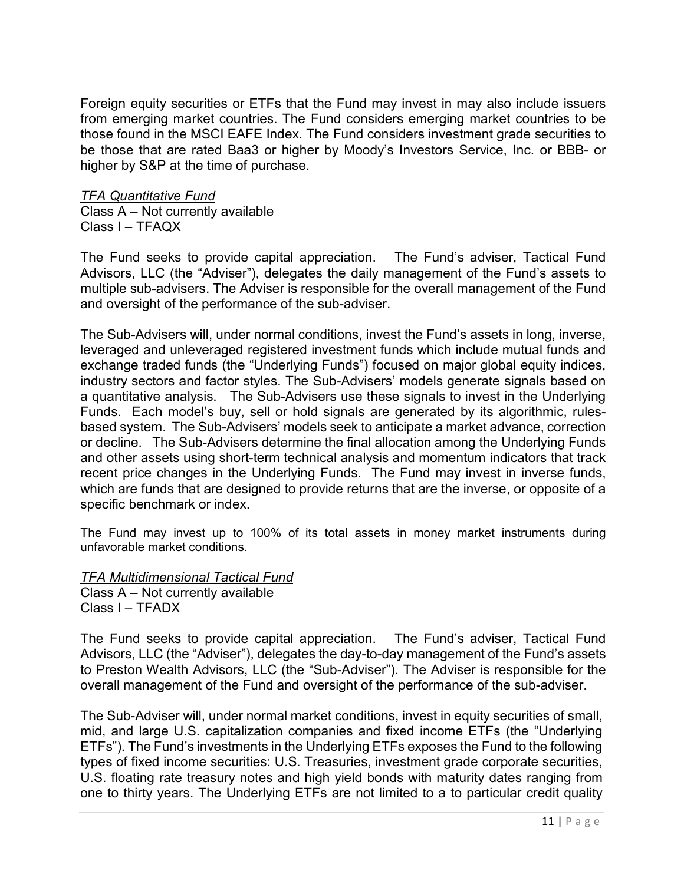Foreign equity securities or ETFs that the Fund may invest in may also include issuers from emerging market countries. The Fund considers emerging market countries to be those found in the MSCI EAFE Index. The Fund considers investment grade securities to be those that are rated Baa3 or higher by Moody's Investors Service, Inc. or BBB- or higher by S&P at the time of purchase.

#### TFA Quantitative Fund

Class A – Not currently available Class I – TFAQX

The Fund seeks to provide capital appreciation. The Fund's adviser, Tactical Fund Advisors, LLC (the "Adviser"), delegates the daily management of the Fund's assets to multiple sub-advisers. The Adviser is responsible for the overall management of the Fund and oversight of the performance of the sub-adviser.

The Sub-Advisers will, under normal conditions, invest the Fund's assets in long, inverse, leveraged and unleveraged registered investment funds which include mutual funds and exchange traded funds (the "Underlying Funds") focused on major global equity indices, industry sectors and factor styles. The Sub-Advisers' models generate signals based on a quantitative analysis. The Sub-Advisers use these signals to invest in the Underlying Funds. Each model's buy, sell or hold signals are generated by its algorithmic, rulesbased system. The Sub-Advisers' models seek to anticipate a market advance, correction or decline. The Sub-Advisers determine the final allocation among the Underlying Funds and other assets using short-term technical analysis and momentum indicators that track recent price changes in the Underlying Funds. The Fund may invest in inverse funds, which are funds that are designed to provide returns that are the inverse, or opposite of a specific benchmark or index.

The Fund may invest up to 100% of its total assets in money market instruments during unfavorable market conditions.

TFA Multidimensional Tactical Fund Class A – Not currently available Class I – TFADX

The Fund seeks to provide capital appreciation. The Fund's adviser, Tactical Fund Advisors, LLC (the "Adviser"), delegates the day-to-day management of the Fund's assets to Preston Wealth Advisors, LLC (the "Sub-Adviser"). The Adviser is responsible for the overall management of the Fund and oversight of the performance of the sub-adviser.

The Sub-Adviser will, under normal market conditions, invest in equity securities of small, mid, and large U.S. capitalization companies and fixed income ETFs (the "Underlying ETFs"). The Fund's investments in the Underlying ETFs exposes the Fund to the following types of fixed income securities: U.S. Treasuries, investment grade corporate securities, U.S. floating rate treasury notes and high yield bonds with maturity dates ranging from one to thirty years. The Underlying ETFs are not limited to a to particular credit quality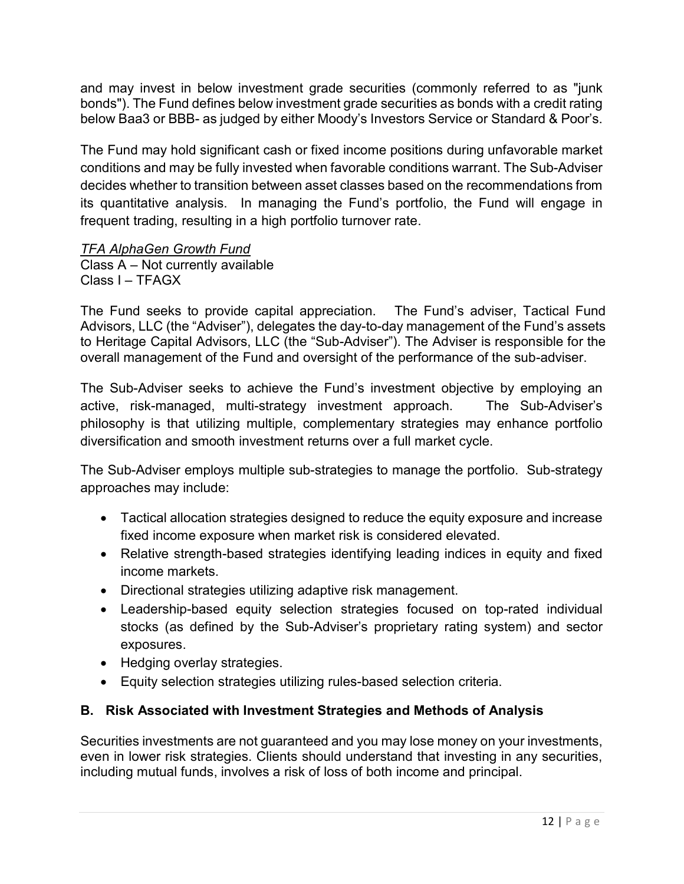and may invest in below investment grade securities (commonly referred to as "junk bonds"). The Fund defines below investment grade securities as bonds with a credit rating below Baa3 or BBB- as judged by either Moody's Investors Service or Standard & Poor's.

The Fund may hold significant cash or fixed income positions during unfavorable market conditions and may be fully invested when favorable conditions warrant. The Sub-Adviser decides whether to transition between asset classes based on the recommendations from its quantitative analysis. In managing the Fund's portfolio, the Fund will engage in frequent trading, resulting in a high portfolio turnover rate.

#### TFA AlphaGen Growth Fund

Class A – Not currently available Class I – TFAGX

The Fund seeks to provide capital appreciation. The Fund's adviser, Tactical Fund Advisors, LLC (the "Adviser"), delegates the day-to-day management of the Fund's assets to Heritage Capital Advisors, LLC (the "Sub-Adviser"). The Adviser is responsible for the overall management of the Fund and oversight of the performance of the sub-adviser.

The Sub-Adviser seeks to achieve the Fund's investment objective by employing an active, risk-managed, multi-strategy investment approach. The Sub-Adviser's philosophy is that utilizing multiple, complementary strategies may enhance portfolio diversification and smooth investment returns over a full market cycle.

The Sub-Adviser employs multiple sub-strategies to manage the portfolio. Sub-strategy approaches may include:

- Tactical allocation strategies designed to reduce the equity exposure and increase fixed income exposure when market risk is considered elevated.
- Relative strength-based strategies identifying leading indices in equity and fixed income markets.
- Directional strategies utilizing adaptive risk management.
- Leadership-based equity selection strategies focused on top-rated individual stocks (as defined by the Sub-Adviser's proprietary rating system) and sector exposures.
- Hedging overlay strategies.
- Equity selection strategies utilizing rules-based selection criteria.

#### B. Risk Associated with Investment Strategies and Methods of Analysis

Securities investments are not guaranteed and you may lose money on your investments, even in lower risk strategies. Clients should understand that investing in any securities, including mutual funds, involves a risk of loss of both income and principal.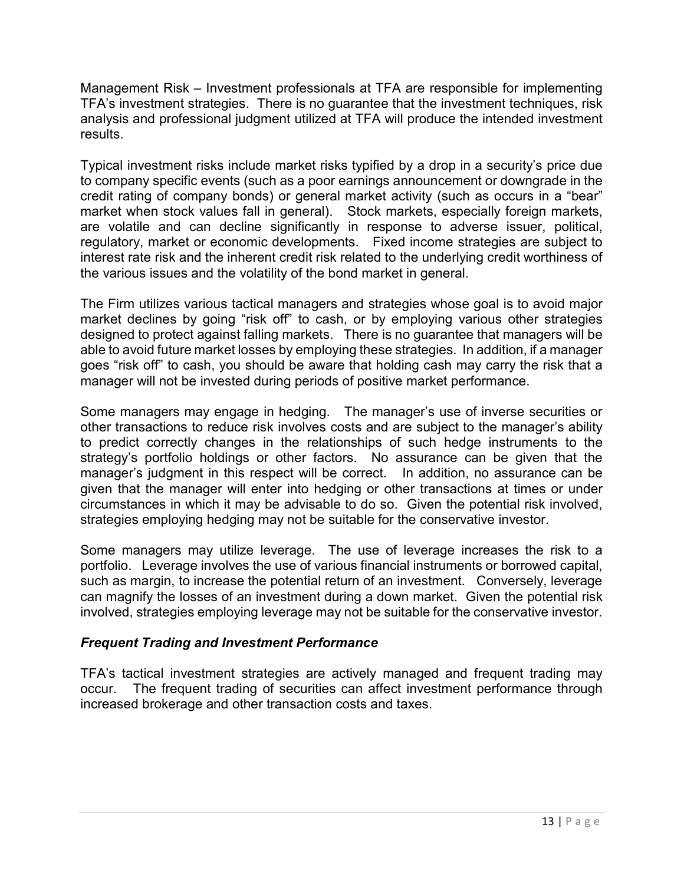Management Risk – Investment professionals at TFA are responsible for implementing TFA's investment strategies. There is no guarantee that the investment techniques, risk analysis and professional judgment utilized at TFA will produce the intended investment results.

Typical investment risks include market risks typified by a drop in a security's price due to company specific events (such as a poor earnings announcement or downgrade in the credit rating of company bonds) or general market activity (such as occurs in a "bear" market when stock values fall in general). Stock markets, especially foreign markets, are volatile and can decline significantly in response to adverse issuer, political, regulatory, market or economic developments. Fixed income strategies are subject to interest rate risk and the inherent credit risk related to the underlying credit worthiness of the various issues and the volatility of the bond market in general.

The Firm utilizes various tactical managers and strategies whose goal is to avoid major market declines by going "risk off" to cash, or by employing various other strategies designed to protect against falling markets. There is no guarantee that managers will be able to avoid future market losses by employing these strategies. In addition, if a manager goes "risk off" to cash, you should be aware that holding cash may carry the risk that a manager will not be invested during periods of positive market performance.

Some managers may engage in hedging. The manager's use of inverse securities or other transactions to reduce risk involves costs and are subject to the manager's ability to predict correctly changes in the relationships of such hedge instruments to the strategy's portfolio holdings or other factors. No assurance can be given that the manager's judgment in this respect will be correct. In addition, no assurance can be given that the manager will enter into hedging or other transactions at times or under circumstances in which it may be advisable to do so. Given the potential risk involved, strategies employing hedging may not be suitable for the conservative investor.

Some managers may utilize leverage. The use of leverage increases the risk to a portfolio. Leverage involves the use of various financial instruments or borrowed capital, such as margin, to increase the potential return of an investment. Conversely, leverage can magnify the losses of an investment during a down market. Given the potential risk involved, strategies employing leverage may not be suitable for the conservative investor.

#### Frequent Trading and Investment Performance

TFA's tactical investment strategies are actively managed and frequent trading may occur. The frequent trading of securities can affect investment performance through increased brokerage and other transaction costs and taxes.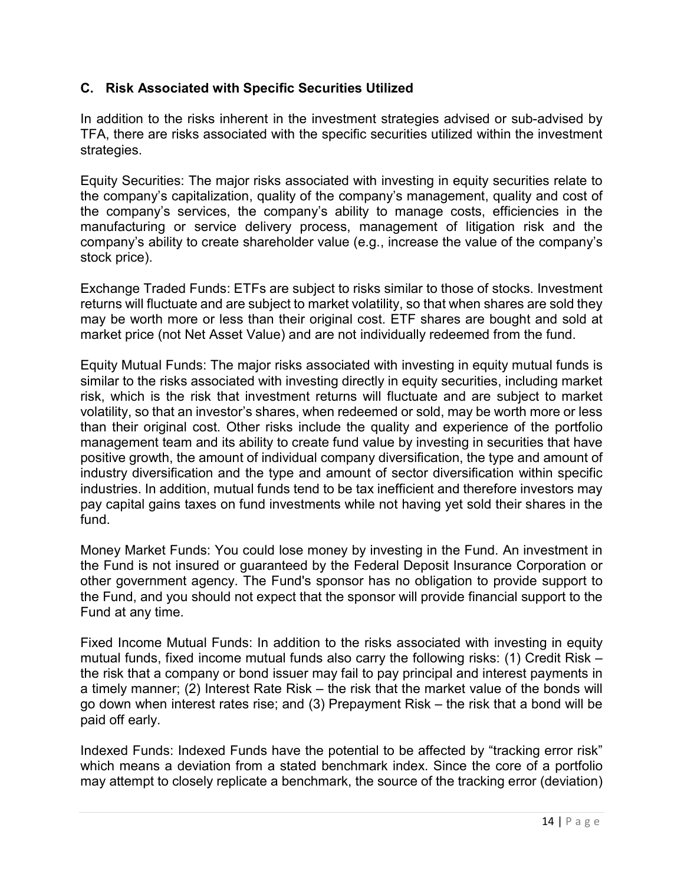#### C. Risk Associated with Specific Securities Utilized

In addition to the risks inherent in the investment strategies advised or sub-advised by TFA, there are risks associated with the specific securities utilized within the investment strategies.

Equity Securities: The major risks associated with investing in equity securities relate to the company's capitalization, quality of the company's management, quality and cost of the company's services, the company's ability to manage costs, efficiencies in the manufacturing or service delivery process, management of litigation risk and the company's ability to create shareholder value (e.g., increase the value of the company's stock price).

Exchange Traded Funds: ETFs are subject to risks similar to those of stocks. Investment returns will fluctuate and are subject to market volatility, so that when shares are sold they may be worth more or less than their original cost. ETF shares are bought and sold at market price (not Net Asset Value) and are not individually redeemed from the fund.

Equity Mutual Funds: The major risks associated with investing in equity mutual funds is similar to the risks associated with investing directly in equity securities, including market risk, which is the risk that investment returns will fluctuate and are subject to market volatility, so that an investor's shares, when redeemed or sold, may be worth more or less than their original cost. Other risks include the quality and experience of the portfolio management team and its ability to create fund value by investing in securities that have positive growth, the amount of individual company diversification, the type and amount of industry diversification and the type and amount of sector diversification within specific industries. In addition, mutual funds tend to be tax inefficient and therefore investors may pay capital gains taxes on fund investments while not having yet sold their shares in the fund.

Money Market Funds: You could lose money by investing in the Fund. An investment in the Fund is not insured or guaranteed by the Federal Deposit Insurance Corporation or other government agency. The Fund's sponsor has no obligation to provide support to the Fund, and you should not expect that the sponsor will provide financial support to the Fund at any time.

Fixed Income Mutual Funds: In addition to the risks associated with investing in equity mutual funds, fixed income mutual funds also carry the following risks: (1) Credit Risk – the risk that a company or bond issuer may fail to pay principal and interest payments in a timely manner; (2) Interest Rate Risk – the risk that the market value of the bonds will go down when interest rates rise; and (3) Prepayment Risk – the risk that a bond will be paid off early.

Indexed Funds: Indexed Funds have the potential to be affected by "tracking error risk" which means a deviation from a stated benchmark index. Since the core of a portfolio may attempt to closely replicate a benchmark, the source of the tracking error (deviation)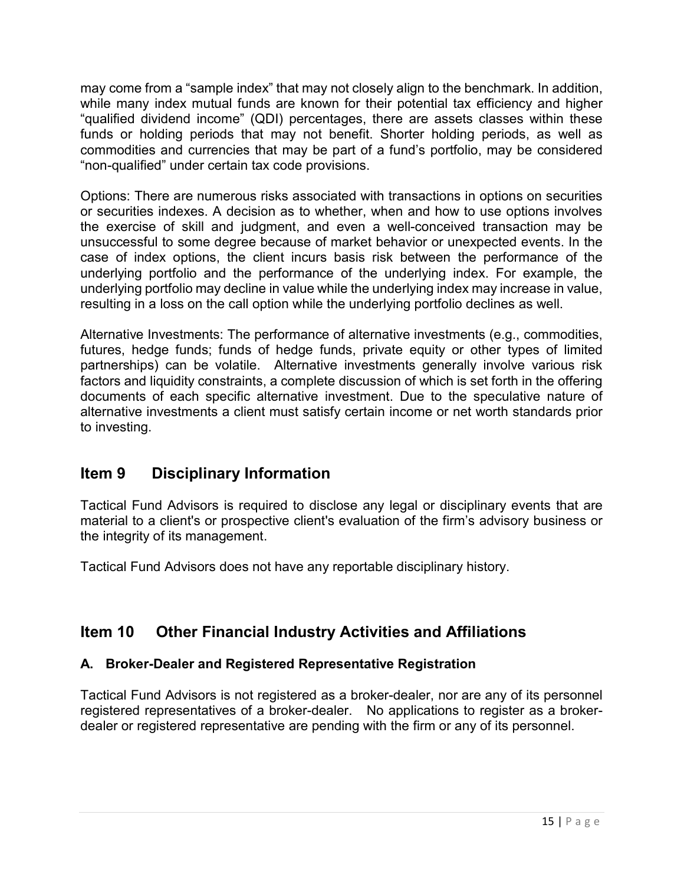may come from a "sample index" that may not closely align to the benchmark. In addition, while many index mutual funds are known for their potential tax efficiency and higher "qualified dividend income" (QDI) percentages, there are assets classes within these funds or holding periods that may not benefit. Shorter holding periods, as well as commodities and currencies that may be part of a fund's portfolio, may be considered "non-qualified" under certain tax code provisions.

Options: There are numerous risks associated with transactions in options on securities or securities indexes. A decision as to whether, when and how to use options involves the exercise of skill and judgment, and even a well-conceived transaction may be unsuccessful to some degree because of market behavior or unexpected events. In the case of index options, the client incurs basis risk between the performance of the underlying portfolio and the performance of the underlying index. For example, the underlying portfolio may decline in value while the underlying index may increase in value, resulting in a loss on the call option while the underlying portfolio declines as well.

Alternative Investments: The performance of alternative investments (e.g., commodities, futures, hedge funds; funds of hedge funds, private equity or other types of limited partnerships) can be volatile. Alternative investments generally involve various risk factors and liquidity constraints, a complete discussion of which is set forth in the offering documents of each specific alternative investment. Due to the speculative nature of alternative investments a client must satisfy certain income or net worth standards prior to investing.

# Item 9 Disciplinary Information

Tactical Fund Advisors is required to disclose any legal or disciplinary events that are material to a client's or prospective client's evaluation of the firm's advisory business or the integrity of its management.

Tactical Fund Advisors does not have any reportable disciplinary history.

# Item 10 Other Financial Industry Activities and Affiliations

## A. Broker-Dealer and Registered Representative Registration

Tactical Fund Advisors is not registered as a broker-dealer, nor are any of its personnel registered representatives of a broker-dealer. No applications to register as a brokerdealer or registered representative are pending with the firm or any of its personnel.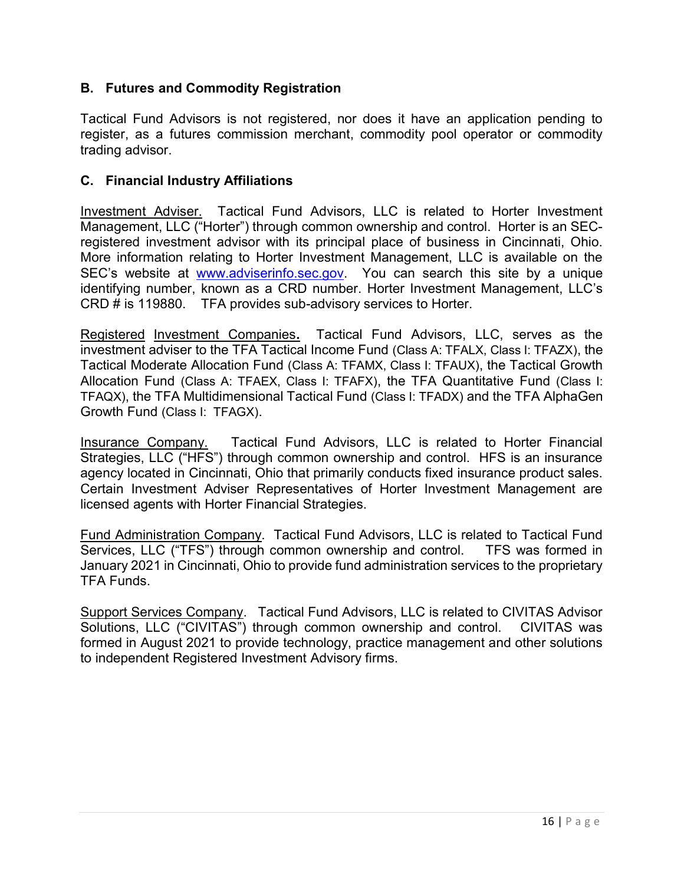#### B. Futures and Commodity Registration

Tactical Fund Advisors is not registered, nor does it have an application pending to register, as a futures commission merchant, commodity pool operator or commodity trading advisor.

#### C. Financial Industry Affiliations

Investment Adviser. Tactical Fund Advisors, LLC is related to Horter Investment Management, LLC ("Horter") through common ownership and control. Horter is an SECregistered investment advisor with its principal place of business in Cincinnati, Ohio. More information relating to Horter Investment Management, LLC is available on the SEC's website at www.adviserinfo.sec.gov. You can search this site by a unique identifying number, known as a CRD number. Horter Investment Management, LLC's CRD # is 119880. TFA provides sub-advisory services to Horter.

Registered Investment Companies. Tactical Fund Advisors, LLC, serves as the investment adviser to the TFA Tactical Income Fund (Class A: TFALX, Class I: TFAZX), the Tactical Moderate Allocation Fund (Class A: TFAMX, Class I: TFAUX), the Tactical Growth Allocation Fund (Class A: TFAEX, Class I: TFAFX), the TFA Quantitative Fund (Class I: TFAQX), the TFA Multidimensional Tactical Fund (Class I: TFADX) and the TFA AlphaGen Growth Fund (Class I: TFAGX).

Insurance Company. Tactical Fund Advisors, LLC is related to Horter Financial Strategies, LLC ("HFS") through common ownership and control. HFS is an insurance agency located in Cincinnati, Ohio that primarily conducts fixed insurance product sales. Certain Investment Adviser Representatives of Horter Investment Management are licensed agents with Horter Financial Strategies.

Fund Administration Company. Tactical Fund Advisors, LLC is related to Tactical Fund Services, LLC ("TFS") through common ownership and control. TFS was formed in January 2021 in Cincinnati, Ohio to provide fund administration services to the proprietary TFA Funds.

Support Services Company. Tactical Fund Advisors, LLC is related to CIVITAS Advisor Solutions, LLC ("CIVITAS") through common ownership and control. CIVITAS was formed in August 2021 to provide technology, practice management and other solutions to independent Registered Investment Advisory firms.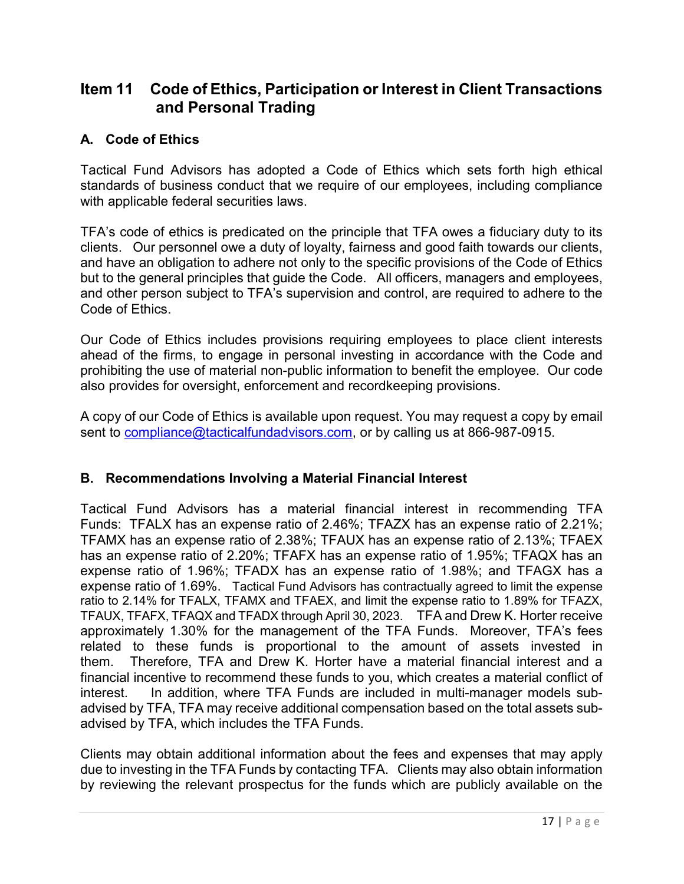## Item 11 Code of Ethics, Participation or Interest in Client Transactions and Personal Trading

#### A. Code of Ethics

Tactical Fund Advisors has adopted a Code of Ethics which sets forth high ethical standards of business conduct that we require of our employees, including compliance with applicable federal securities laws.

TFA's code of ethics is predicated on the principle that TFA owes a fiduciary duty to its clients. Our personnel owe a duty of loyalty, fairness and good faith towards our clients, and have an obligation to adhere not only to the specific provisions of the Code of Ethics but to the general principles that guide the Code. All officers, managers and employees, and other person subject to TFA's supervision and control, are required to adhere to the Code of Ethics.

Our Code of Ethics includes provisions requiring employees to place client interests ahead of the firms, to engage in personal investing in accordance with the Code and prohibiting the use of material non-public information to benefit the employee. Our code also provides for oversight, enforcement and recordkeeping provisions.

A copy of our Code of Ethics is available upon request. You may request a copy by email sent to compliance@tacticalfundadvisors.com, or by calling us at 866-987-0915.

#### B. Recommendations Involving a Material Financial Interest

Tactical Fund Advisors has a material financial interest in recommending TFA Funds: TFALX has an expense ratio of 2.46%; TFAZX has an expense ratio of 2.21%; TFAMX has an expense ratio of 2.38%; TFAUX has an expense ratio of 2.13%; TFAEX has an expense ratio of 2.20%; TFAFX has an expense ratio of 1.95%; TFAQX has an expense ratio of 1.96%; TFADX has an expense ratio of 1.98%; and TFAGX has a expense ratio of 1.69%. Tactical Fund Advisors has contractually agreed to limit the expense ratio to 2.14% for TFALX, TFAMX and TFAEX, and limit the expense ratio to 1.89% for TFAZX, TFAUX, TFAFX, TFAQX and TFADX through April 30, 2023. TFA and Drew K. Horter receive approximately 1.30% for the management of the TFA Funds. Moreover, TFA's fees related to these funds is proportional to the amount of assets invested in them. Therefore, TFA and Drew K. Horter have a material financial interest and a financial incentive to recommend these funds to you, which creates a material conflict of interest. In addition, where TFA Funds are included in multi-manager models subadvised by TFA, TFA may receive additional compensation based on the total assets subadvised by TFA, which includes the TFA Funds.

Clients may obtain additional information about the fees and expenses that may apply due to investing in the TFA Funds by contacting TFA. Clients may also obtain information by reviewing the relevant prospectus for the funds which are publicly available on the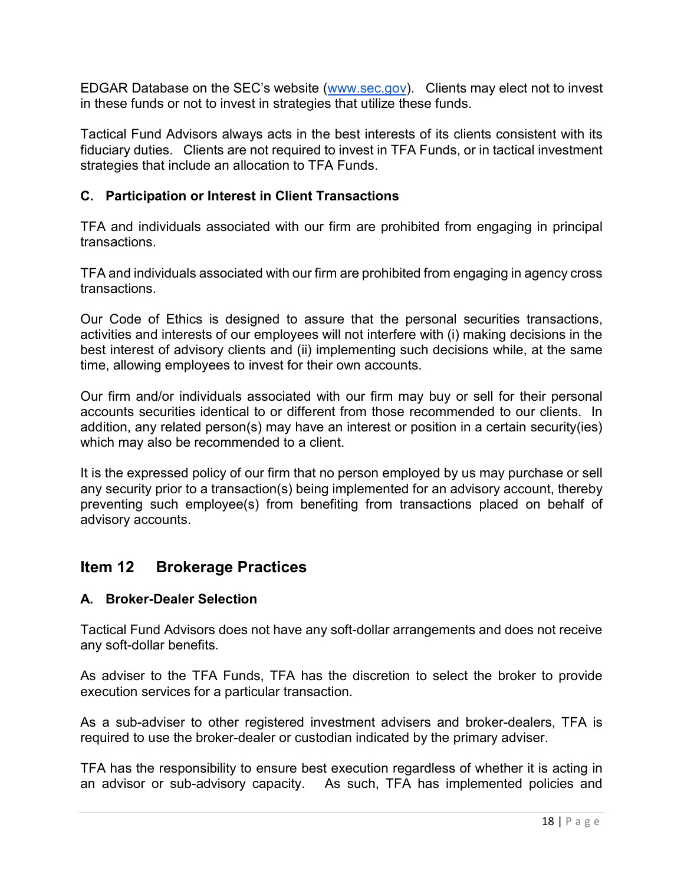EDGAR Database on the SEC's website (www.sec.gov). Clients may elect not to invest in these funds or not to invest in strategies that utilize these funds.

Tactical Fund Advisors always acts in the best interests of its clients consistent with its fiduciary duties. Clients are not required to invest in TFA Funds, or in tactical investment strategies that include an allocation to TFA Funds.

#### C. Participation or Interest in Client Transactions

TFA and individuals associated with our firm are prohibited from engaging in principal transactions.

TFA and individuals associated with our firm are prohibited from engaging in agency cross transactions.

Our Code of Ethics is designed to assure that the personal securities transactions, activities and interests of our employees will not interfere with (i) making decisions in the best interest of advisory clients and (ii) implementing such decisions while, at the same time, allowing employees to invest for their own accounts.

Our firm and/or individuals associated with our firm may buy or sell for their personal accounts securities identical to or different from those recommended to our clients. In addition, any related person(s) may have an interest or position in a certain security(ies) which may also be recommended to a client.

It is the expressed policy of our firm that no person employed by us may purchase or sell any security prior to a transaction(s) being implemented for an advisory account, thereby preventing such employee(s) from benefiting from transactions placed on behalf of advisory accounts.

## Item 12 Brokerage Practices

#### A. Broker-Dealer Selection

Tactical Fund Advisors does not have any soft-dollar arrangements and does not receive any soft-dollar benefits.

As adviser to the TFA Funds, TFA has the discretion to select the broker to provide execution services for a particular transaction.

As a sub-adviser to other registered investment advisers and broker-dealers, TFA is required to use the broker-dealer or custodian indicated by the primary adviser.

TFA has the responsibility to ensure best execution regardless of whether it is acting in an advisor or sub-advisory capacity. As such, TFA has implemented policies and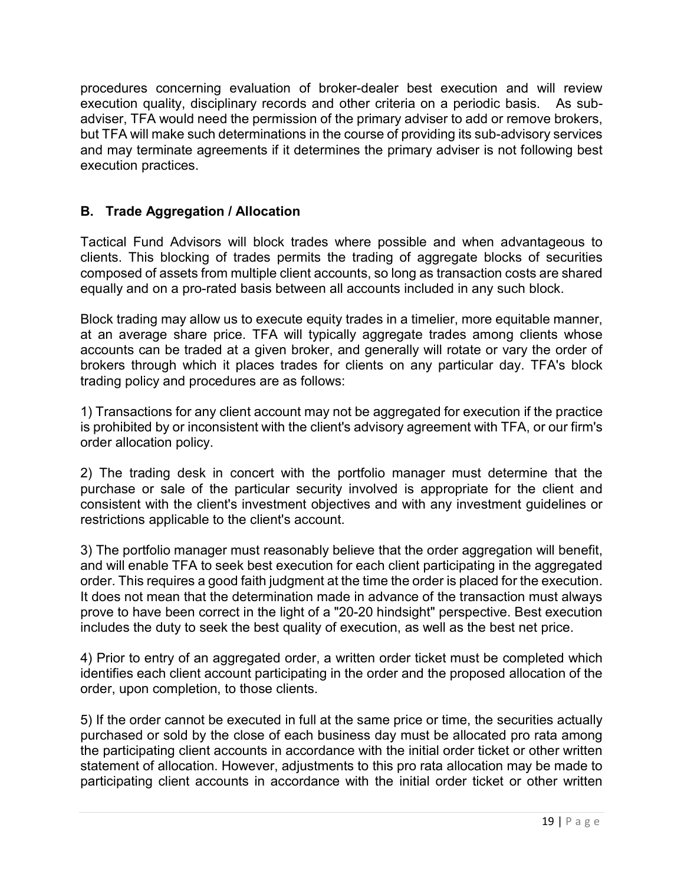procedures concerning evaluation of broker-dealer best execution and will review execution quality, disciplinary records and other criteria on a periodic basis. As subadviser, TFA would need the permission of the primary adviser to add or remove brokers, but TFA will make such determinations in the course of providing its sub-advisory services and may terminate agreements if it determines the primary adviser is not following best execution practices.

## B. Trade Aggregation / Allocation

Tactical Fund Advisors will block trades where possible and when advantageous to clients. This blocking of trades permits the trading of aggregate blocks of securities composed of assets from multiple client accounts, so long as transaction costs are shared equally and on a pro-rated basis between all accounts included in any such block.

Block trading may allow us to execute equity trades in a timelier, more equitable manner, at an average share price. TFA will typically aggregate trades among clients whose accounts can be traded at a given broker, and generally will rotate or vary the order of brokers through which it places trades for clients on any particular day. TFA's block trading policy and procedures are as follows:

1) Transactions for any client account may not be aggregated for execution if the practice is prohibited by or inconsistent with the client's advisory agreement with TFA, or our firm's order allocation policy.

2) The trading desk in concert with the portfolio manager must determine that the purchase or sale of the particular security involved is appropriate for the client and consistent with the client's investment objectives and with any investment guidelines or restrictions applicable to the client's account.

3) The portfolio manager must reasonably believe that the order aggregation will benefit, and will enable TFA to seek best execution for each client participating in the aggregated order. This requires a good faith judgment at the time the order is placed for the execution. It does not mean that the determination made in advance of the transaction must always prove to have been correct in the light of a "20-20 hindsight" perspective. Best execution includes the duty to seek the best quality of execution, as well as the best net price.

4) Prior to entry of an aggregated order, a written order ticket must be completed which identifies each client account participating in the order and the proposed allocation of the order, upon completion, to those clients.

5) If the order cannot be executed in full at the same price or time, the securities actually purchased or sold by the close of each business day must be allocated pro rata among the participating client accounts in accordance with the initial order ticket or other written statement of allocation. However, adjustments to this pro rata allocation may be made to participating client accounts in accordance with the initial order ticket or other written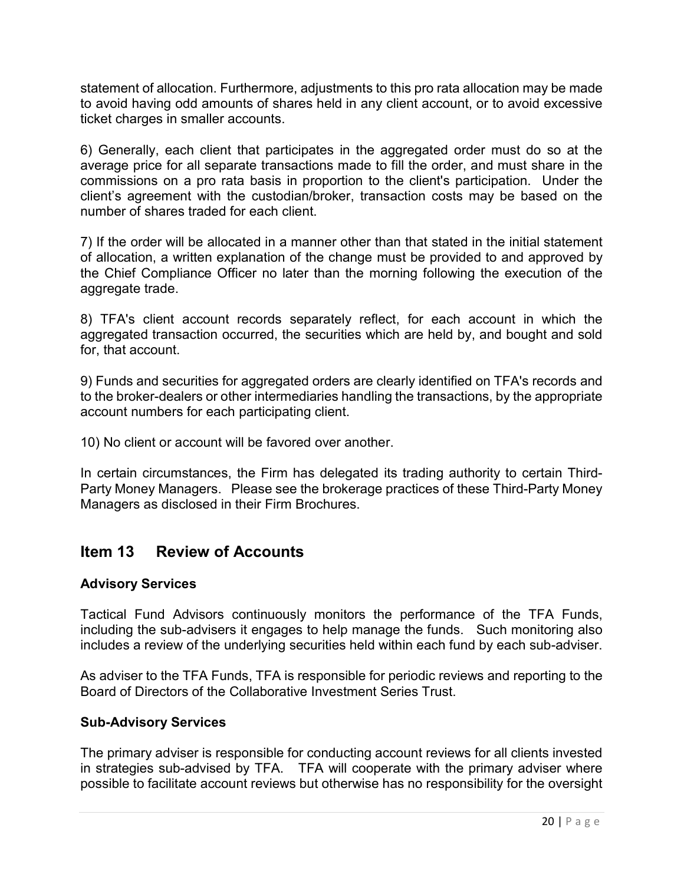statement of allocation. Furthermore, adjustments to this pro rata allocation may be made to avoid having odd amounts of shares held in any client account, or to avoid excessive ticket charges in smaller accounts.

6) Generally, each client that participates in the aggregated order must do so at the average price for all separate transactions made to fill the order, and must share in the commissions on a pro rata basis in proportion to the client's participation. Under the client's agreement with the custodian/broker, transaction costs may be based on the number of shares traded for each client.

7) If the order will be allocated in a manner other than that stated in the initial statement of allocation, a written explanation of the change must be provided to and approved by the Chief Compliance Officer no later than the morning following the execution of the aggregate trade.

8) TFA's client account records separately reflect, for each account in which the aggregated transaction occurred, the securities which are held by, and bought and sold for, that account.

9) Funds and securities for aggregated orders are clearly identified on TFA's records and to the broker-dealers or other intermediaries handling the transactions, by the appropriate account numbers for each participating client.

10) No client or account will be favored over another.

In certain circumstances, the Firm has delegated its trading authority to certain Third-Party Money Managers. Please see the brokerage practices of these Third-Party Money Managers as disclosed in their Firm Brochures.

## Item 13 Review of Accounts

#### Advisory Services

Tactical Fund Advisors continuously monitors the performance of the TFA Funds, including the sub-advisers it engages to help manage the funds. Such monitoring also includes a review of the underlying securities held within each fund by each sub-adviser.

As adviser to the TFA Funds, TFA is responsible for periodic reviews and reporting to the Board of Directors of the Collaborative Investment Series Trust.

#### Sub-Advisory Services

The primary adviser is responsible for conducting account reviews for all clients invested in strategies sub-advised by TFA. TFA will cooperate with the primary adviser where possible to facilitate account reviews but otherwise has no responsibility for the oversight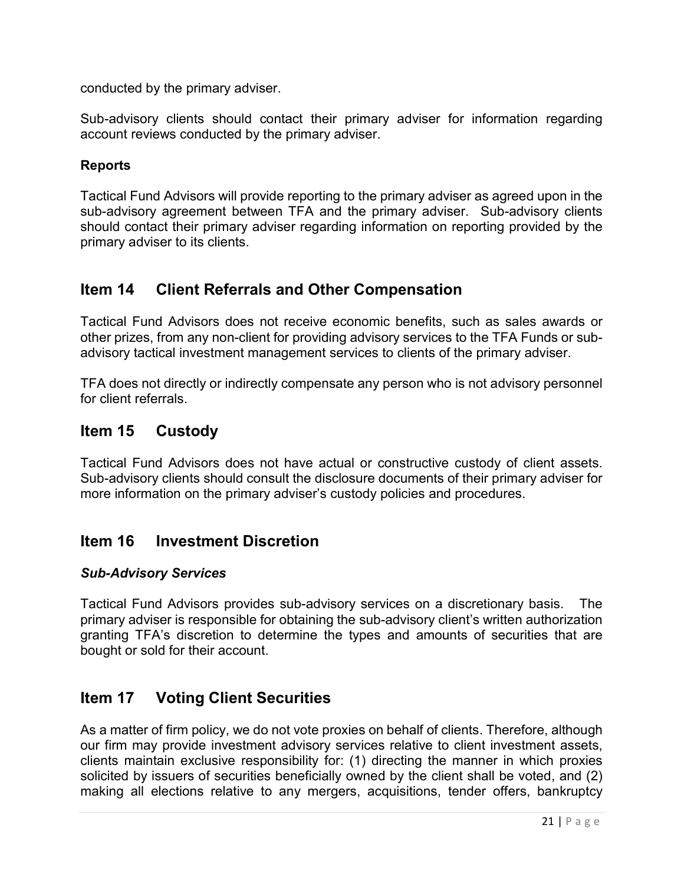conducted by the primary adviser.

Sub-advisory clients should contact their primary adviser for information regarding account reviews conducted by the primary adviser.

### Reports

Tactical Fund Advisors will provide reporting to the primary adviser as agreed upon in the sub-advisory agreement between TFA and the primary adviser. Sub-advisory clients should contact their primary adviser regarding information on reporting provided by the primary adviser to its clients.

# Item 14 Client Referrals and Other Compensation

Tactical Fund Advisors does not receive economic benefits, such as sales awards or other prizes, from any non-client for providing advisory services to the TFA Funds or subadvisory tactical investment management services to clients of the primary adviser.

TFA does not directly or indirectly compensate any person who is not advisory personnel for client referrals.

# Item 15 Custody

Tactical Fund Advisors does not have actual or constructive custody of client assets. Sub-advisory clients should consult the disclosure documents of their primary adviser for more information on the primary adviser's custody policies and procedures.

## Item 16 Investment Discretion

#### Sub-Advisory Services

Tactical Fund Advisors provides sub-advisory services on a discretionary basis. The primary adviser is responsible for obtaining the sub-advisory client's written authorization granting TFA's discretion to determine the types and amounts of securities that are bought or sold for their account.

# Item 17 Voting Client Securities

As a matter of firm policy, we do not vote proxies on behalf of clients. Therefore, although our firm may provide investment advisory services relative to client investment assets, clients maintain exclusive responsibility for: (1) directing the manner in which proxies solicited by issuers of securities beneficially owned by the client shall be voted, and (2) making all elections relative to any mergers, acquisitions, tender offers, bankruptcy